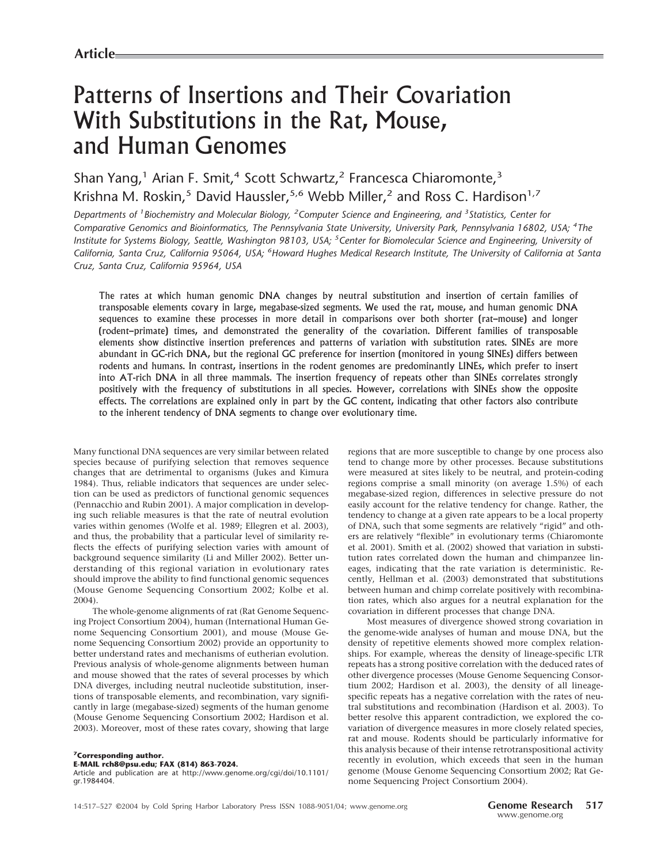# Patterns of Insertions and Their Covariation With Substitutions in the Rat, Mouse, and Human Genomes

# Shan Yang,<sup>1</sup> Arian F. Smit,<sup>4</sup> Scott Schwartz,<sup>2</sup> Francesca Chiaromonte,<sup>3</sup> Krishna M. Roskin,<sup>5</sup> David Haussler,<sup>5,6</sup> Webb Miller,<sup>2</sup> and Ross C. Hardison<sup>1,7</sup>

*Departments of <sup>1</sup> Biochemistry and Molecular Biology, <sup>2</sup> Computer Science and Engineering, and <sup>3</sup> Statistics, Center for Comparative Genomics and Bioinformatics, The Pennsylvania State University, University Park, Pennsylvania 16802, USA; <sup>4</sup> The Institute for Systems Biology, Seattle, Washington 98103, USA; <sup>5</sup> Center for Biomolecular Science and Engineering, University of California, Santa Cruz, California 95064, USA; <sup>6</sup> Howard Hughes Medical Research Institute, The University of California at Santa Cruz, Santa Cruz, California 95964, USA*

The rates at which human genomic DNA changes by neutral substitution and insertion of certain families of transposable elements covary in large, megabase-sized segments. We used the rat, mouse, and human genomic DNA sequences to examine these processes in more detail in comparisons over both shorter (rat–mouse) and longer (rodent–primate) times, and demonstrated the generality of the covariation. Different families of transposable elements show distinctive insertion preferences and patterns of variation with substitution rates. SINEs are more abundant in GC-rich DNA, but the regional GC preference for insertion (monitored in young SINEs) differs between rodents and humans. In contrast, insertions in the rodent genomes are predominantly LINEs, which prefer to insert into AT-rich DNA in all three mammals. The insertion frequency of repeats other than SINEs correlates strongly positively with the frequency of substitutions in all species. However, correlations with SINEs show the opposite effects. The correlations are explained only in part by the GC content, indicating that other factors also contribute to the inherent tendency of DNA segments to change over evolutionary time.

Many functional DNA sequences are very similar between related species because of purifying selection that removes sequence changes that are detrimental to organisms (Jukes and Kimura 1984). Thus, reliable indicators that sequences are under selection can be used as predictors of functional genomic sequences (Pennacchio and Rubin 2001). A major complication in developing such reliable measures is that the rate of neutral evolution varies within genomes (Wolfe et al. 1989; Ellegren et al. 2003), and thus, the probability that a particular level of similarity reflects the effects of purifying selection varies with amount of background sequence similarity (Li and Miller 2002). Better understanding of this regional variation in evolutionary rates should improve the ability to find functional genomic sequences (Mouse Genome Sequencing Consortium 2002; Kolbe et al. 2004).

The whole-genome alignments of rat (Rat Genome Sequencing Project Consortium 2004), human (International Human Genome Sequencing Consortium 2001), and mouse (Mouse Genome Sequencing Consortium 2002) provide an opportunity to better understand rates and mechanisms of eutherian evolution. Previous analysis of whole-genome alignments between human and mouse showed that the rates of several processes by which DNA diverges, including neutral nucleotide substitution, insertions of transposable elements, and recombination, vary significantly in large (megabase-sized) segments of the human genome (Mouse Genome Sequencing Consortium 2002; Hardison et al. 2003). Moreover, most of these rates covary, showing that large

**7Corresponding author.**

#### **E-MAIL rch8@psu.edu; FAX (814) 863-7024.**

Article and publication are at http://www.genome.org/cgi/doi/10.1101/ gr.1984404.

regions that are more susceptible to change by one process also tend to change more by other processes. Because substitutions were measured at sites likely to be neutral, and protein-coding regions comprise a small minority (on average 1.5%) of each megabase-sized region, differences in selective pressure do not easily account for the relative tendency for change. Rather, the tendency to change at a given rate appears to be a local property of DNA, such that some segments are relatively "rigid" and others are relatively "flexible" in evolutionary terms (Chiaromonte et al. 2001). Smith et al. (2002) showed that variation in substitution rates correlated down the human and chimpanzee lineages, indicating that the rate variation is deterministic. Recently, Hellman et al. (2003) demonstrated that substitutions between human and chimp correlate positively with recombination rates, which also argues for a neutral explanation for the covariation in different processes that change DNA.

Most measures of divergence showed strong covariation in the genome-wide analyses of human and mouse DNA, but the density of repetitive elements showed more complex relationships. For example, whereas the density of lineage-specific LTR repeats has a strong positive correlation with the deduced rates of other divergence processes (Mouse Genome Sequencing Consortium 2002; Hardison et al. 2003), the density of all lineagespecific repeats has a negative correlation with the rates of neutral substitutions and recombination (Hardison et al. 2003). To better resolve this apparent contradiction, we explored the covariation of divergence measures in more closely related species, rat and mouse. Rodents should be particularly informative for this analysis because of their intense retrotranspositional activity recently in evolution, which exceeds that seen in the human genome (Mouse Genome Sequencing Consortium 2002; Rat Genome Sequencing Project Consortium 2004).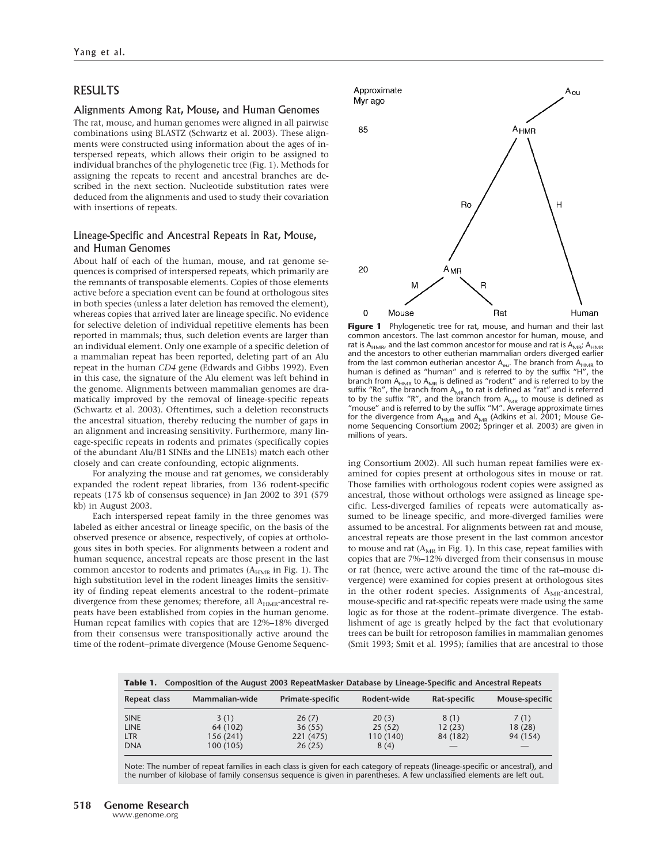# **RESULTS**

#### Alignments Among Rat, Mouse, and Human Genomes

The rat, mouse, and human genomes were aligned in all pairwise combinations using BLASTZ (Schwartz et al. 2003). These alignments were constructed using information about the ages of interspersed repeats, which allows their origin to be assigned to individual branches of the phylogenetic tree (Fig. 1). Methods for assigning the repeats to recent and ancestral branches are described in the next section. Nucleotide substitution rates were deduced from the alignments and used to study their covariation with insertions of repeats.

#### Lineage-Specific and Ancestral Repeats in Rat, Mouse, and Human Genomes

About half of each of the human, mouse, and rat genome sequences is comprised of interspersed repeats, which primarily are the remnants of transposable elements. Copies of those elements active before a speciation event can be found at orthologous sites in both species (unless a later deletion has removed the element), whereas copies that arrived later are lineage specific. No evidence for selective deletion of individual repetitive elements has been reported in mammals; thus, such deletion events are larger than an individual element. Only one example of a specific deletion of a mammalian repeat has been reported, deleting part of an Alu repeat in the human *CD4* gene (Edwards and Gibbs 1992). Even in this case, the signature of the Alu element was left behind in the genome. Alignments between mammalian genomes are dramatically improved by the removal of lineage-specific repeats (Schwartz et al. 2003). Oftentimes, such a deletion reconstructs the ancestral situation, thereby reducing the number of gaps in an alignment and increasing sensitivity. Furthermore, many lineage-specific repeats in rodents and primates (specifically copies of the abundant Alu/B1 SINEs and the LINE1s) match each other closely and can create confounding, ectopic alignments.

For analyzing the mouse and rat genomes, we considerably expanded the rodent repeat libraries, from 136 rodent-specific repeats (175 kb of consensus sequence) in Jan 2002 to 391 (579 kb) in August 2003.

Each interspersed repeat family in the three genomes was labeled as either ancestral or lineage specific, on the basis of the observed presence or absence, respectively, of copies at orthologous sites in both species. For alignments between a rodent and human sequence, ancestral repeats are those present in the last common ancestor to rodents and primates  $(A<sub>HMR</sub>$  in Fig. 1). The high substitution level in the rodent lineages limits the sensitivity of finding repeat elements ancestral to the rodent–primate divergence from these genomes; therefore, all  $A_{HMR}$ -ancestral repeats have been established from copies in the human genome. Human repeat families with copies that are 12%–18% diverged from their consensus were transpositionally active around the time of the rodent–primate divergence (Mouse Genome Sequenc-



Figure 1 Phylogenetic tree for rat, mouse, and human and their last common ancestors. The last common ancestor for human, mouse, and rat is  $A_{HMR}$ , and the last common ancestor for mouse and rat is  $A_{MRL}$ ;  $A_{HMR}$ and the ancestors to other eutherian mammalian orders diverged earlier from the last common eutherian ancestor  $A_{eu}$ . The branch from  $A_{HMR}$  to human is defined as "human" and is referred to by the suffix "H", the branch from  $A<sub>HMR</sub>$  to  $A<sub>MR</sub>$  is defined as "rodent" and is referred to by the suffix "Ro", the branch from  $A_{MR}$  to rat is defined as "rat" and is referred to by the suffix "R", and the branch from  $A_{MR}$  to mouse is defined as "mouse" and is referred to by the suffix "M". Average approximate times for the divergence from  $A_{HMR}$  and  $A_{MR}$  (Adkins et al. 2001; Mouse Genome Sequencing Consortium 2002; Springer et al. 2003) are given in millions of years.

ing Consortium 2002). All such human repeat families were examined for copies present at orthologous sites in mouse or rat. Those families with orthologous rodent copies were assigned as ancestral, those without orthologs were assigned as lineage specific. Less-diverged families of repeats were automatically assumed to be lineage specific, and more-diverged families were assumed to be ancestral. For alignments between rat and mouse, ancestral repeats are those present in the last common ancestor to mouse and rat  $(A_{MR}$  in Fig. 1). In this case, repeat families with copies that are 7%–12% diverged from their consensus in mouse or rat (hence, were active around the time of the rat–mouse divergence) were examined for copies present at orthologous sites in the other rodent species. Assignments of  $A_{MR}$ -ancestral, mouse-specific and rat-specific repeats were made using the same logic as for those at the rodent–primate divergence. The establishment of age is greatly helped by the fact that evolutionary trees can be built for retroposon families in mammalian genomes (Smit 1993; Smit et al. 1995); families that are ancestral to those

| Table 1. Composition of the August 2003 RepeatMasker Database by Lineage-Specific and Ancestral Repeats |  |  |
|---------------------------------------------------------------------------------------------------------|--|--|
|                                                                                                         |  |  |

| <b>Repeat class</b> | Mammalian-wide | Primate-specific | Rodent-wide | Rat-specific | Mouse-specific |
|---------------------|----------------|------------------|-------------|--------------|----------------|
| <b>SINE</b>         | 3(1)           | 26(7)            | 20(3)       | 8(1)         | 7(1)           |
| <b>LINE</b>         | 64 (102)       | 36(55)           | 25(52)      | 12(23)       | 18(28)         |
| <b>LTR</b>          | 156 (241)      | 221 (475)        | 110 (140)   | 84 (182)     | 94 (154)       |
| <b>DNA</b>          | 100 (105)      | 26(25)           | 8(4)        |              |                |

Note: The number of repeat families in each class is given for each category of repeats (lineage-specific or ancestral), and the number of kilobase of family consensus sequence is given in parentheses. A few unclassified elements are left out.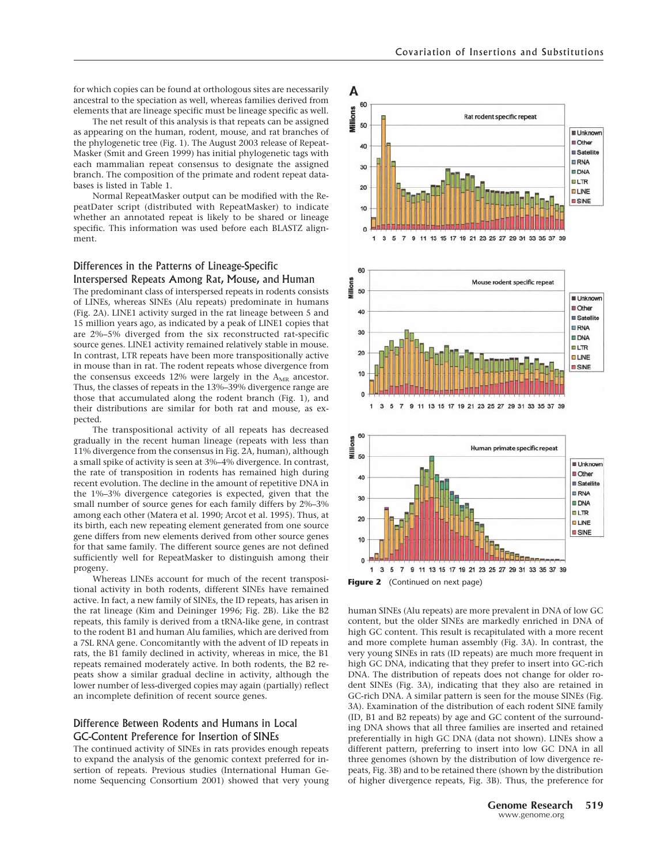for which copies can be found at orthologous sites are necessarily ancestral to the speciation as well, whereas families derived from elements that are lineage specific must be lineage specific as well.

The net result of this analysis is that repeats can be assigned as appearing on the human, rodent, mouse, and rat branches of the phylogenetic tree (Fig. 1). The August 2003 release of Repeat-Masker (Smit and Green 1999) has initial phylogenetic tags with each mammalian repeat consensus to designate the assigned branch. The composition of the primate and rodent repeat databases is listed in Table 1.

Normal RepeatMasker output can be modified with the RepeatDater script (distributed with RepeatMasker) to indicate whether an annotated repeat is likely to be shared or lineage specific. This information was used before each BLASTZ alignment.

# Differences in the Patterns of Lineage-Specific Interspersed Repeats Among Rat, Mouse, and Human

The predominant class of interspersed repeats in rodents consists of LINEs, whereas SINEs (Alu repeats) predominate in humans (Fig. 2A). LINE1 activity surged in the rat lineage between 5 and 15 million years ago, as indicated by a peak of LINE1 copies that are 2%–5% diverged from the six reconstructed rat-specific source genes. LINE1 activity remained relatively stable in mouse. In contrast, LTR repeats have been more transpositionally active in mouse than in rat. The rodent repeats whose divergence from the consensus exceeds 12% were largely in the  $A_{MR}$  ancestor. Thus, the classes of repeats in the 13%–39% divergence range are those that accumulated along the rodent branch (Fig. 1), and their distributions are similar for both rat and mouse, as expected.

The transpositional activity of all repeats has decreased gradually in the recent human lineage (repeats with less than 11% divergence from the consensus in Fig. 2A, human), although a small spike of activity is seen at 3%–4% divergence. In contrast, the rate of transposition in rodents has remained high during recent evolution. The decline in the amount of repetitive DNA in the 1%–3% divergence categories is expected, given that the small number of source genes for each family differs by 2%–3% among each other (Matera et al. 1990; Arcot et al. 1995). Thus, at its birth, each new repeating element generated from one source gene differs from new elements derived from other source genes for that same family. The different source genes are not defined sufficiently well for RepeatMasker to distinguish among their progeny.

Whereas LINEs account for much of the recent transpositional activity in both rodents, different SINEs have remained active. In fact, a new family of SINEs, the ID repeats, has arisen in the rat lineage (Kim and Deininger 1996; Fig. 2B). Like the B2 repeats, this family is derived from a tRNA-like gene, in contrast to the rodent B1 and human Alu families, which are derived from a 7SL RNA gene. Concomitantly with the advent of ID repeats in rats, the B1 family declined in activity, whereas in mice, the B1 repeats remained moderately active. In both rodents, the B2 repeats show a similar gradual decline in activity, although the lower number of less-diverged copies may again (partially) reflect an incomplete definition of recent source genes.

# Difference Between Rodents and Humans in Local GC-Content Preference for Insertion of SINEs

The continued activity of SINEs in rats provides enough repeats to expand the analysis of the genomic context preferred for insertion of repeats. Previous studies (International Human Genome Sequencing Consortium 2001) showed that very young



**Figure 2** (Continued on next page)

human SINEs (Alu repeats) are more prevalent in DNA of low GC content, but the older SINEs are markedly enriched in DNA of high GC content. This result is recapitulated with a more recent and more complete human assembly (Fig. 3A). In contrast, the very young SINEs in rats (ID repeats) are much more frequent in high GC DNA, indicating that they prefer to insert into GC-rich DNA. The distribution of repeats does not change for older rodent SINEs (Fig. 3A), indicating that they also are retained in GC-rich DNA. A similar pattern is seen for the mouse SINEs (Fig. 3A). Examination of the distribution of each rodent SINE family (ID, B1 and B2 repeats) by age and GC content of the surrounding DNA shows that all three families are inserted and retained preferentially in high GC DNA (data not shown). LINEs show a different pattern, preferring to insert into low GC DNA in all three genomes (shown by the distribution of low divergence repeats, Fig. 3B) and to be retained there (shown by the distribution of higher divergence repeats, Fig. 3B). Thus, the preference for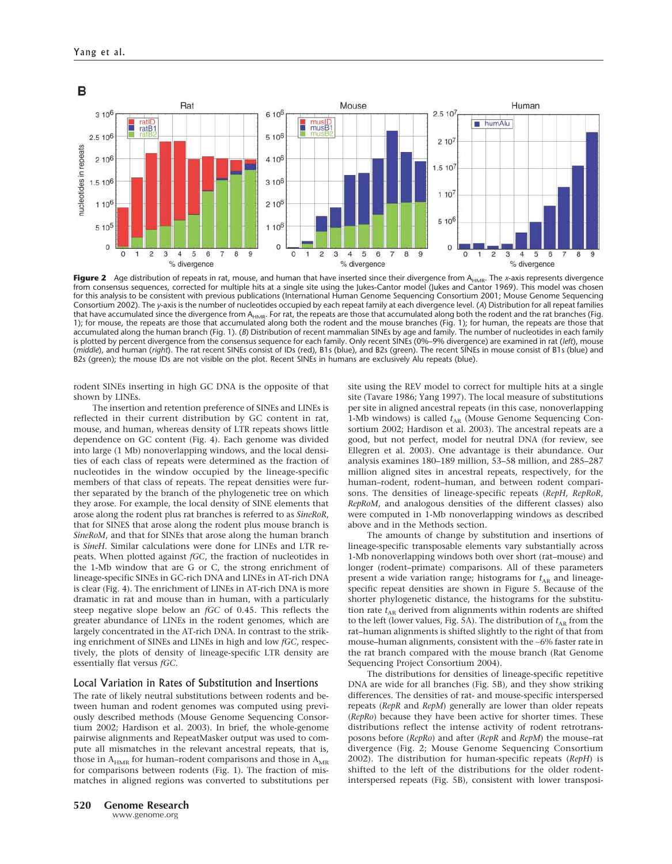

Figure 2 Age distribution of repeats in rat, mouse, and human that have inserted since their divergence from A<sub>HMR</sub>. The *x*-axis represents divergence from consensus sequences, corrected for multiple hits at a single site using the Jukes-Cantor model (Jukes and Cantor 1969). This model was chosen for this analysis to be consistent with previous publications (International Human Genome Sequencing Consortium 2001; Mouse Genome Sequencing Consortium 2002). The *y*-axis is the number of nucleotides occupied by each repeat family at each divergence level. (*A*) Distribution for all repeat families that have accumulated since the divergence from A<sub>HMR</sub>. For rat, the repeats are those that accumulated along both the rodent and the rat branches (Fig. 1); for mouse, the repeats are those that accumulated along both the rodent and the mouse branches (Fig. 1); for human, the repeats are those that accumulated along the human branch (Fig. 1). (*B*) Distribution of recent mammalian SINEs by age and family. The number of nucleotides in each family is plotted by percent divergence from the consensus sequence for each family. Only recent SINEs (0%–9% divergence) are examined in rat (*left*), mouse (*middle*), and human (*right*). The rat recent SINEs consist of IDs (red), B1s (blue), and B2s (green). The recent SINEs in mouse consist of B1s (blue) and B2s (green); the mouse IDs are not visible on the plot. Recent SINEs in humans are exclusively Alu repeats (blue).

rodent SINEs inserting in high GC DNA is the opposite of that shown by LINEs.

The insertion and retention preference of SINEs and LINEs is reflected in their current distribution by GC content in rat, mouse, and human, whereas density of LTR repeats shows little dependence on GC content (Fig. 4). Each genome was divided into large (1 Mb) nonoverlapping windows, and the local densities of each class of repeats were determined as the fraction of nucleotides in the window occupied by the lineage-specific members of that class of repeats. The repeat densities were further separated by the branch of the phylogenetic tree on which they arose. For example, the local density of SINE elements that arose along the rodent plus rat branches is referred to as *SineRoR*, that for SINES that arose along the rodent plus mouse branch is *SineRoM*, and that for SINEs that arose along the human branch is *SineH*. Similar calculations were done for LINEs and LTR repeats. When plotted against *fGC*, the fraction of nucleotides in the 1-Mb window that are G or C, the strong enrichment of lineage-specific SINEs in GC-rich DNA and LINEs in AT-rich DNA is clear (Fig. 4). The enrichment of LINEs in AT-rich DNA is more dramatic in rat and mouse than in human, with a particularly steep negative slope below an *fGC* of 0.45. This reflects the greater abundance of LINEs in the rodent genomes, which are largely concentrated in the AT-rich DNA. In contrast to the striking enrichment of SINEs and LINEs in high and low *fGC*, respectively, the plots of density of lineage-specific LTR density are essentially flat versus *fGC*.

#### Local Variation in Rates of Substitution and Insertions

The rate of likely neutral substitutions between rodents and between human and rodent genomes was computed using previously described methods (Mouse Genome Sequencing Consortium 2002; Hardison et al. 2003). In brief, the whole-genome pairwise alignments and RepeatMasker output was used to compute all mismatches in the relevant ancestral repeats, that is, those in  $\rm A_{HMR}$  for human–rodent comparisons and those in  $\rm A_{MR}$ for comparisons between rodents (Fig. 1). The fraction of mismatches in aligned regions was converted to substitutions per site using the REV model to correct for multiple hits at a single site (Tavare 1986; Yang 1997). The local measure of substitutions per site in aligned ancestral repeats (in this case, nonoverlapping 1-Mb windows) is called  $t_{AR}$  (Mouse Genome Sequencing Consortium 2002; Hardison et al. 2003). The ancestral repeats are a good, but not perfect, model for neutral DNA (for review, see Ellegren et al. 2003). One advantage is their abundance. Our analysis examines 180–189 million, 53–58 million, and 285–287 million aligned sites in ancestral repeats, respectively, for the human–rodent, rodent–human, and between rodent comparisons. The densities of lineage-specific repeats (*RepH*, *RepRoR*, *RepRoM*, and analogous densities of the different classes) also were computed in 1-Mb nonoverlapping windows as described above and in the Methods section.

The amounts of change by substitution and insertions of lineage-specific transposable elements vary substantially across 1-Mb nonoverlapping windows both over short (rat–mouse) and longer (rodent–primate) comparisons. All of these parameters present a wide variation range; histograms for  $t_{AR}$  and lineagespecific repeat densities are shown in Figure 5. Because of the shorter phylogenetic distance, the histograms for the substitution rate  $t_{AR}$  derived from alignments within rodents are shifted to the left (lower values, Fig. 5A). The distribution of  $t_{AR}$  from the rat–human alignments is shifted slightly to the right of that from mouse–human alignments, consistent with the ∼6% faster rate in the rat branch compared with the mouse branch (Rat Genome Sequencing Project Consortium 2004).

The distributions for densities of lineage-specific repetitive DNA are wide for all branches (Fig. 5B), and they show striking differences. The densities of rat- and mouse-specific interspersed repeats (*RepR* and *RepM*) generally are lower than older repeats (*RepRo*) because they have been active for shorter times. These distributions reflect the intense activity of rodent retrotransposons before (*RepRo*) and after (*RepR* and *RepM*) the mouse–rat divergence (Fig. 2; Mouse Genome Sequencing Consortium 2002). The distribution for human-specific repeats (*RepH*) is shifted to the left of the distributions for the older rodentinterspersed repeats (Fig. 5B), consistent with lower transposi-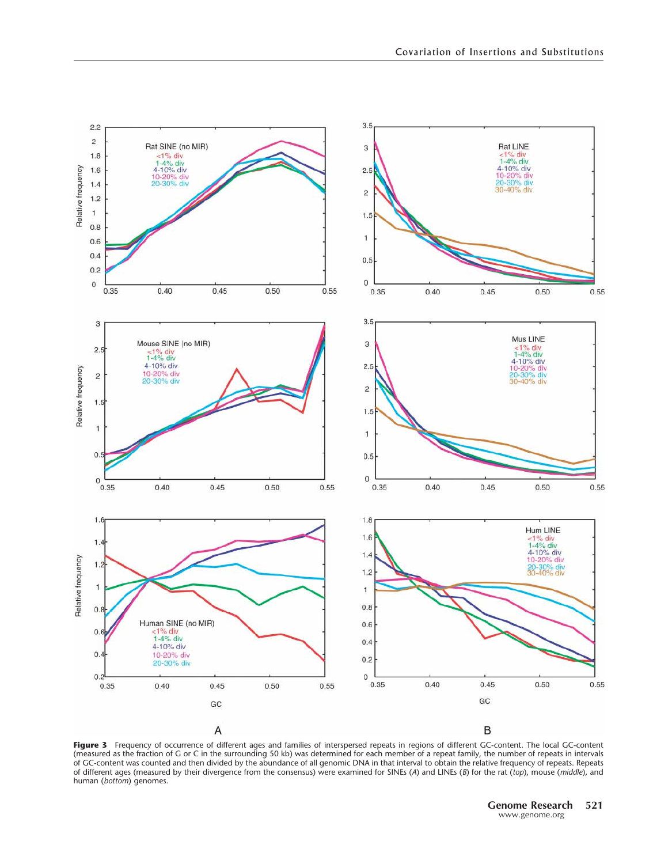

**Figure 3** Frequency of occurrence of different ages and families of interspersed repeats in regions of different GC-content. The local GC-content (measured as the fraction of G or C in the surrounding 50 kb) was determined for each member of a repeat family, the number of repeats in intervals of GC-content was counted and then divided by the abundance of all genomic DNA in that interval to obtain the relative frequency of repeats. Repeats of different ages (measured by their divergence from the consensus) were examined for SINEs (*A*) and LINEs (*B*) for the rat (*top*), mouse (*middle*), and human (*bottom*) genomes.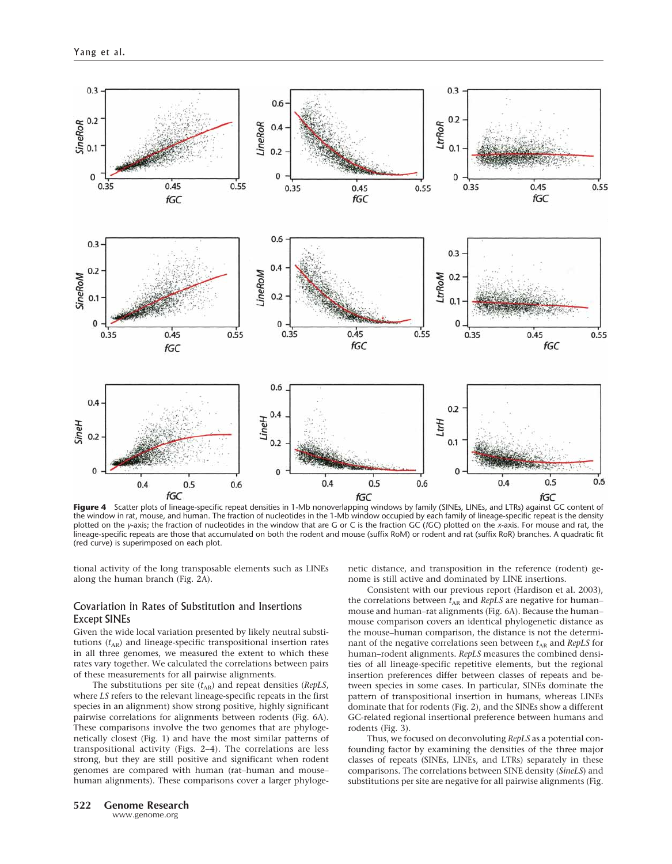

Figure 4 Scatter plots of lineage-specific repeat densities in 1-Mb nonoverlapping windows by family (SINEs, LINEs, and LTRs) against GC content of the window in rat, mouse, and human. The fraction of nucleotides in the 1-Mb window occupied by each family of lineage-specific repeat is the density plotted on the *y*-axis; the fraction of nucleotides in the window that are G or C is the fraction GC (*fGC*) plotted on the *x*-axis. For mouse and rat, the lineage-specific repeats are those that accumulated on both the rodent and mouse (suffix RoM) or rodent and rat (suffix RoR) branches. A quadratic fit (red curve) is superimposed on each plot.

tional activity of the long transposable elements such as LINEs along the human branch (Fig. 2A).

## Covariation in Rates of Substitution and Insertions Except SINEs

Given the wide local variation presented by likely neutral substitutions ( $t_{AR}$ ) and lineage-specific transpositional insertion rates in all three genomes, we measured the extent to which these rates vary together. We calculated the correlations between pairs of these measurements for all pairwise alignments.

The substitutions per site  $(t_{AR})$  and repeat densities (*RepLS*, where *LS* refers to the relevant lineage-specific repeats in the first species in an alignment) show strong positive, highly significant pairwise correlations for alignments between rodents (Fig. 6A). These comparisons involve the two genomes that are phylogenetically closest (Fig. 1) and have the most similar patterns of transpositional activity (Figs. 2–4). The correlations are less strong, but they are still positive and significant when rodent genomes are compared with human (rat–human and mouse– human alignments). These comparisons cover a larger phylogenetic distance, and transposition in the reference (rodent) genome is still active and dominated by LINE insertions.

Consistent with our previous report (Hardison et al. 2003), the correlations between  $t_{AR}$  and *RepLS* are negative for human– mouse and human–rat alignments (Fig. 6A). Because the human– mouse comparison covers an identical phylogenetic distance as the mouse–human comparison, the distance is not the determinant of the negative correlations seen between  $t_{AR}$  and *RepLS* for human–rodent alignments. *RepLS* measures the combined densities of all lineage-specific repetitive elements, but the regional insertion preferences differ between classes of repeats and between species in some cases. In particular, SINEs dominate the pattern of transpositional insertion in humans, whereas LINEs dominate that for rodents (Fig. 2), and the SINEs show a different GC-related regional insertional preference between humans and rodents (Fig. 3).

Thus, we focused on deconvoluting *RepLS* as a potential confounding factor by examining the densities of the three major classes of repeats (SINEs, LINEs, and LTRs) separately in these comparisons. The correlations between SINE density (*SineLS*) and substitutions per site are negative for all pairwise alignments (Fig.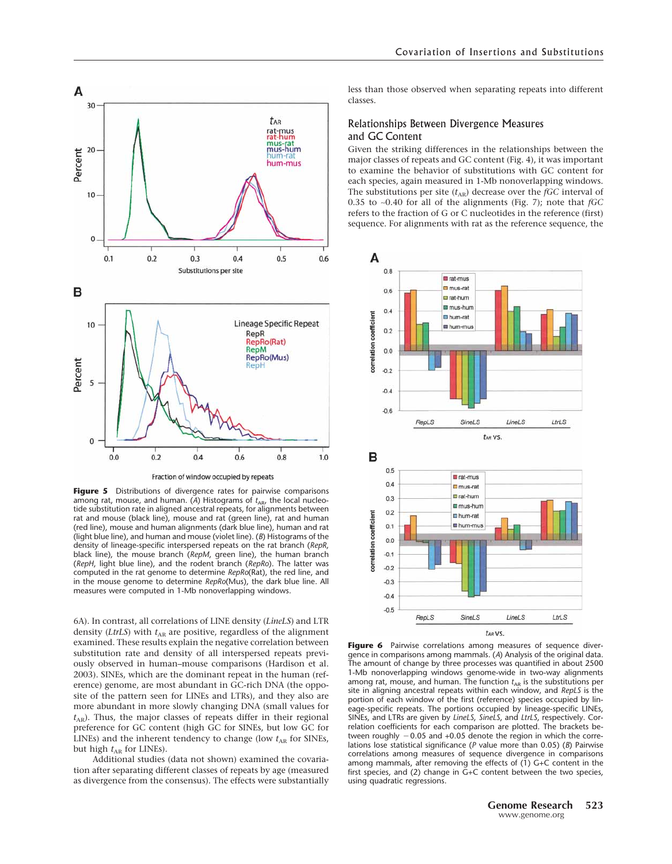

**Figure 5** Distributions of divergence rates for pairwise comparisons among rat, mouse, and human. (A) Histograms of  $t_{AR}$ , the local nucleotide substitution rate in aligned ancestral repeats, for alignments between rat and mouse (black line), mouse and rat (green line), rat and human (red line), mouse and human alignments (dark blue line), human and rat (light blue line), and human and mouse (violet line). (*B*) Histograms of the density of lineage-specific interspersed repeats on the rat branch (*RepR*, black line), the mouse branch (*RepM*, green line), the human branch (*RepH*, light blue line), and the rodent branch (*RepRo*). The latter was computed in the rat genome to determine *RepRo*(Rat), the red line, and in the mouse genome to determine *RepRo*(Mus), the dark blue line. All measures were computed in 1-Mb nonoverlapping windows.

6A). In contrast, all correlations of LINE density (*LineLS*) and LTR density (*LtrLS*) with  $t_{AR}$  are positive, regardless of the alignment examined. These results explain the negative correlation between substitution rate and density of all interspersed repeats previously observed in human–mouse comparisons (Hardison et al. 2003). SINEs, which are the dominant repeat in the human (reference) genome, are most abundant in GC-rich DNA (the opposite of the pattern seen for LINEs and LTRs), and they also are more abundant in more slowly changing DNA (small values for  $t_{AR}$ ). Thus, the major classes of repeats differ in their regional preference for GC content (high GC for SINEs, but low GC for LINEs) and the inherent tendency to change (low  $t_{AP}$  for SINEs, but high  $t_{AR}$  for LINEs).

Additional studies (data not shown) examined the covariation after separating different classes of repeats by age (measured as divergence from the consensus). The effects were substantially less than those observed when separating repeats into different classes.

#### Relationships Between Divergence Measures and GC Content

Given the striking differences in the relationships between the major classes of repeats and GC content (Fig. 4), it was important to examine the behavior of substitutions with GC content for each species, again measured in 1-Mb nonoverlapping windows. The substitutions per site  $(t_{AR})$  decrease over the *fGC* interval of 0.35 to ∼0.40 for all of the alignments (Fig. 7); note that *fGC* refers to the fraction of G or C nucleotides in the reference (first) sequence. For alignments with rat as the reference sequence, the



Figure 6 Pairwise correlations among measures of sequence divergence in comparisons among mammals. (*A*) Analysis of the original data. The amount of change by three processes was quantified in about 2500 1-Mb nonoverlapping windows genome-wide in two-way alignments among rat, mouse, and human. The function  $t_{AR}$  is the substitutions per site in aligning ancestral repeats within each window, and *RepLS* is the portion of each window of the first (reference) species occupied by lineage-specific repeats. The portions occupied by lineage-specific LINEs, SINEs, and LTRs are given by *LineLS*, *SineLS*, and *LtrLS*, respectively. Correlation coefficients for each comparison are plotted. The brackets between roughly  $-0.05$  and  $+0.05$  denote the region in which the correlations lose statistical significance (*P* value more than 0.05) (*B*) Pairwise correlations among measures of sequence divergence in comparisons among mammals, after removing the effects of (1) G+C content in the first species, and (2) change in  $G+C$  content between the two species, using quadratic regressions.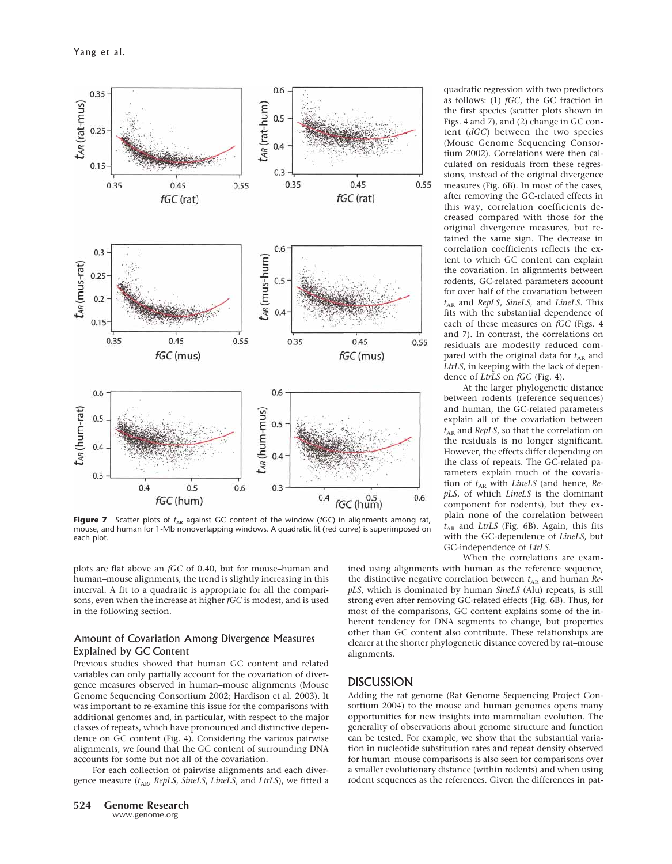

Figure 7 Scatter plots of  $t_{AR}$  against GC content of the window (*fGC*) in alignments among rat, mouse, and human for 1-Mb nonoverlapping windows. A quadratic fit (red curve) is superimposed on each plot.

plots are flat above an *fGC* of 0.40, but for mouse–human and human–mouse alignments, the trend is slightly increasing in this interval. A fit to a quadratic is appropriate for all the comparisons, even when the increase at higher *fGC* is modest, and is used in the following section.

#### Amount of Covariation Among Divergence Measures Explained by GC Content

Previous studies showed that human GC content and related variables can only partially account for the covariation of divergence measures observed in human–mouse alignments (Mouse Genome Sequencing Consortium 2002; Hardison et al. 2003). It was important to re-examine this issue for the comparisons with additional genomes and, in particular, with respect to the major classes of repeats, which have pronounced and distinctive dependence on GC content (Fig. 4). Considering the various pairwise alignments, we found that the GC content of surrounding DNA accounts for some but not all of the covariation.

For each collection of pairwise alignments and each divergence measure ( $t_{AR}$ , RepLS, SineLS, LineLS, and LtrLS), we fitted a

quadratic regression with two predictors as follows: (1) *fGC*, the GC fraction in the first species (scatter plots shown in Figs. 4 and 7), and (2) change in GC content (*dGC*) between the two species (Mouse Genome Sequencing Consortium 2002). Correlations were then calculated on residuals from these regressions, instead of the original divergence measures (Fig. 6B). In most of the cases, after removing the GC-related effects in this way, correlation coefficients decreased compared with those for the original divergence measures, but retained the same sign. The decrease in correlation coefficients reflects the extent to which GC content can explain the covariation. In alignments between rodents, GC-related parameters account for over half of the covariation between  $t_{AR}$  and *RepLS*, *SineLS*, and *LineLS*. This fits with the substantial dependence of each of these measures on *fGC* (Figs. 4 and 7). In contrast, the correlations on residuals are modestly reduced compared with the original data for  $t_{AR}$  and *LtrLS*, in keeping with the lack of dependence of *LtrLS* on *fGC* (Fig. 4).

At the larger phylogenetic distance between rodents (reference sequences) and human, the GC-related parameters explain all of the covariation between  $t_{AR}$  and *RepLS*, so that the correlation on the residuals is no longer significant. However, the effects differ depending on the class of repeats. The GC-related parameters explain much of the covariation of  $t_{AR}$  with *LineLS* (and hence, Re*pLS*, of which *LineLS* is the dominant component for rodents), but they explain none of the correlation between  $t_{AR}$  and *LtrLS* (Fig. 6B). Again, this fits with the GC-dependence of *LineLS*, but GC-independence of *LtrLS*.

When the correlations are examined using alignments with human as the reference sequence, the distinctive negative correlation between  $t_{AR}$  and human *RepLS*, which is dominated by human *SineLS* (Alu) repeats, is still strong even after removing GC-related effects (Fig. 6B). Thus, for most of the comparisons, GC content explains some of the inherent tendency for DNA segments to change, but properties other than GC content also contribute. These relationships are clearer at the shorter phylogenetic distance covered by rat–mouse alignments.

# DISCUSSION

Adding the rat genome (Rat Genome Sequencing Project Consortium 2004) to the mouse and human genomes opens many opportunities for new insights into mammalian evolution. The generality of observations about genome structure and function can be tested. For example, we show that the substantial variation in nucleotide substitution rates and repeat density observed for human–mouse comparisons is also seen for comparisons over a smaller evolutionary distance (within rodents) and when using rodent sequences as the references. Given the differences in pat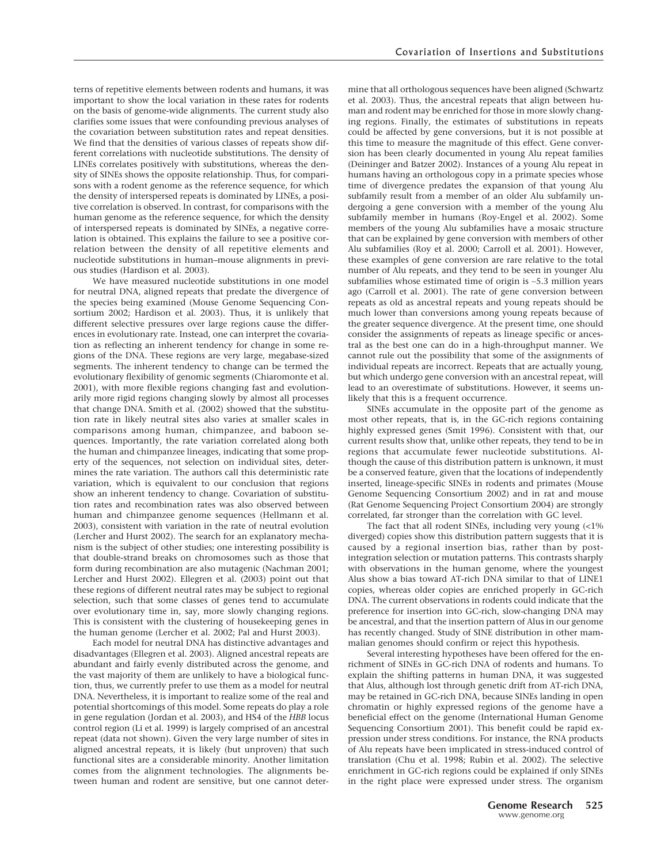terns of repetitive elements between rodents and humans, it was important to show the local variation in these rates for rodents on the basis of genome-wide alignments. The current study also clarifies some issues that were confounding previous analyses of the covariation between substitution rates and repeat densities. We find that the densities of various classes of repeats show different correlations with nucleotide substitutions. The density of LINEs correlates positively with substitutions, whereas the density of SINEs shows the opposite relationship. Thus, for comparisons with a rodent genome as the reference sequence, for which the density of interspersed repeats is dominated by LINEs, a positive correlation is observed. In contrast, for comparisons with the human genome as the reference sequence, for which the density of interspersed repeats is dominated by SINEs, a negative correlation is obtained. This explains the failure to see a positive correlation between the density of all repetitive elements and nucleotide substitutions in human–mouse alignments in previous studies (Hardison et al. 2003).

We have measured nucleotide substitutions in one model for neutral DNA, aligned repeats that predate the divergence of the species being examined (Mouse Genome Sequencing Consortium 2002; Hardison et al. 2003). Thus, it is unlikely that different selective pressures over large regions cause the differences in evolutionary rate. Instead, one can interpret the covariation as reflecting an inherent tendency for change in some regions of the DNA. These regions are very large, megabase-sized segments. The inherent tendency to change can be termed the evolutionary flexibility of genomic segments (Chiaromonte et al. 2001), with more flexible regions changing fast and evolutionarily more rigid regions changing slowly by almost all processes that change DNA. Smith et al. (2002) showed that the substitution rate in likely neutral sites also varies at smaller scales in comparisons among human, chimpanzee, and baboon sequences. Importantly, the rate variation correlated along both the human and chimpanzee lineages, indicating that some property of the sequences, not selection on individual sites, determines the rate variation. The authors call this deterministic rate variation, which is equivalent to our conclusion that regions show an inherent tendency to change. Covariation of substitution rates and recombination rates was also observed between human and chimpanzee genome sequences (Hellmann et al. 2003), consistent with variation in the rate of neutral evolution (Lercher and Hurst 2002). The search for an explanatory mechanism is the subject of other studies; one interesting possibility is that double-strand breaks on chromosomes such as those that form during recombination are also mutagenic (Nachman 2001; Lercher and Hurst 2002). Ellegren et al. (2003) point out that these regions of different neutral rates may be subject to regional selection, such that some classes of genes tend to accumulate over evolutionary time in, say, more slowly changing regions. This is consistent with the clustering of housekeeping genes in the human genome (Lercher et al. 2002; Pal and Hurst 2003).

Each model for neutral DNA has distinctive advantages and disadvantages (Ellegren et al. 2003). Aligned ancestral repeats are abundant and fairly evenly distributed across the genome, and the vast majority of them are unlikely to have a biological function, thus, we currently prefer to use them as a model for neutral DNA. Nevertheless, it is important to realize some of the real and potential shortcomings of this model. Some repeats do play a role in gene regulation (Jordan et al. 2003), and HS4 of the *HBB* locus control region (Li et al. 1999) is largely comprised of an ancestral repeat (data not shown). Given the very large number of sites in aligned ancestral repeats, it is likely (but unproven) that such functional sites are a considerable minority. Another limitation comes from the alignment technologies. The alignments between human and rodent are sensitive, but one cannot deter-

mine that all orthologous sequences have been aligned (Schwartz et al. 2003). Thus, the ancestral repeats that align between human and rodent may be enriched for those in more slowly changing regions. Finally, the estimates of substitutions in repeats could be affected by gene conversions, but it is not possible at this time to measure the magnitude of this effect. Gene conversion has been clearly documented in young Alu repeat families (Deininger and Batzer 2002). Instances of a young Alu repeat in humans having an orthologous copy in a primate species whose time of divergence predates the expansion of that young Alu subfamily result from a member of an older Alu subfamily undergoing a gene conversion with a member of the young Alu subfamily member in humans (Roy-Engel et al. 2002). Some members of the young Alu subfamilies have a mosaic structure that can be explained by gene conversion with members of other Alu subfamilies (Roy et al. 2000; Carroll et al. 2001). However, these examples of gene conversion are rare relative to the total number of Alu repeats, and they tend to be seen in younger Alu subfamilies whose estimated time of origin is ∼5.3 million years ago (Carroll et al. 2001). The rate of gene conversion between repeats as old as ancestral repeats and young repeats should be much lower than conversions among young repeats because of the greater sequence divergence. At the present time, one should consider the assignments of repeats as lineage specific or ancestral as the best one can do in a high-throughput manner. We cannot rule out the possibility that some of the assignments of individual repeats are incorrect. Repeats that are actually young, but which undergo gene conversion with an ancestral repeat, will lead to an overestimate of substitutions. However, it seems unlikely that this is a frequent occurrence.

SINEs accumulate in the opposite part of the genome as most other repeats, that is, in the GC-rich regions containing highly expressed genes (Smit 1996). Consistent with that, our current results show that, unlike other repeats, they tend to be in regions that accumulate fewer nucleotide substitutions. Although the cause of this distribution pattern is unknown, it must be a conserved feature, given that the locations of independently inserted, lineage-specific SINEs in rodents and primates (Mouse Genome Sequencing Consortium 2002) and in rat and mouse (Rat Genome Sequencing Project Consortium 2004) are strongly correlated, far stronger than the correlation with GC level.

The fact that all rodent SINEs, including very young (<1% diverged) copies show this distribution pattern suggests that it is caused by a regional insertion bias, rather than by postintegration selection or mutation patterns. This contrasts sharply with observations in the human genome, where the youngest Alus show a bias toward AT-rich DNA similar to that of LINE1 copies, whereas older copies are enriched properly in GC-rich DNA. The current observations in rodents could indicate that the preference for insertion into GC-rich, slow-changing DNA may be ancestral, and that the insertion pattern of Alus in our genome has recently changed. Study of SINE distribution in other mammalian genomes should confirm or reject this hypothesis.

Several interesting hypotheses have been offered for the enrichment of SINEs in GC-rich DNA of rodents and humans. To explain the shifting patterns in human DNA, it was suggested that Alus, although lost through genetic drift from AT-rich DNA, may be retained in GC-rich DNA, because SINEs landing in open chromatin or highly expressed regions of the genome have a beneficial effect on the genome (International Human Genome Sequencing Consortium 2001). This benefit could be rapid expression under stress conditions. For instance, the RNA products of Alu repeats have been implicated in stress-induced control of translation (Chu et al. 1998; Rubin et al. 2002). The selective enrichment in GC-rich regions could be explained if only SINEs in the right place were expressed under stress. The organism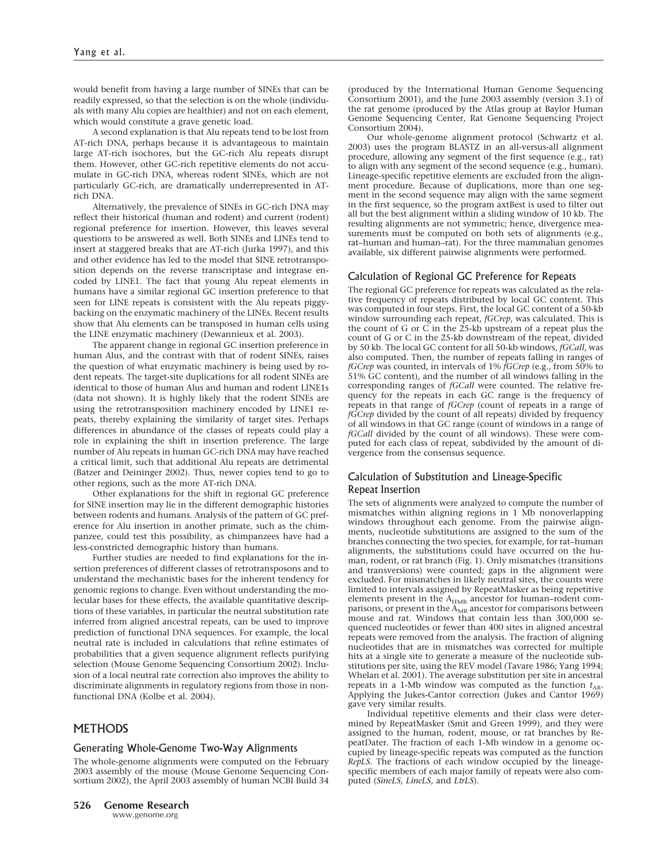would benefit from having a large number of SINEs that can be readily expressed, so that the selection is on the whole (individuals with many Alu copies are healthier) and not on each element, which would constitute a grave genetic load.

A second explanation is that Alu repeats tend to be lost from AT-rich DNA, perhaps because it is advantageous to maintain large AT-rich isochores, but the GC-rich Alu repeats disrupt them. However, other GC-rich repetitive elements do not accumulate in GC-rich DNA, whereas rodent SINEs, which are not particularly GC-rich, are dramatically underrepresented in ATrich DNA.

Alternatively, the prevalence of SINEs in GC-rich DNA may reflect their historical (human and rodent) and current (rodent) regional preference for insertion. However, this leaves several questions to be answered as well. Both SINEs and LINEs tend to insert at staggered breaks that are AT-rich (Jurka 1997), and this and other evidence has led to the model that SINE retrotransposition depends on the reverse transcriptase and integrase encoded by LINE1. The fact that young Alu repeat elements in humans have a similar regional GC insertion preference to that seen for LINE repeats is consistent with the Alu repeats piggybacking on the enzymatic machinery of the LINEs. Recent results show that Alu elements can be transposed in human cells using the LINE enzymatic machinery (Dewannieux et al. 2003).

The apparent change in regional GC insertion preference in human Alus, and the contrast with that of rodent SINEs, raises the question of what enzymatic machinery is being used by rodent repeats. The target-site duplications for all rodent SINEs are identical to those of human Alus and human and rodent LINE1s (data not shown). It is highly likely that the rodent SINEs are using the retrotransposition machinery encoded by LINE1 repeats, thereby explaining the similarity of target sites. Perhaps differences in abundance of the classes of repeats could play a role in explaining the shift in insertion preference. The large number of Alu repeats in human GC-rich DNA may have reached a critical limit, such that additional Alu repeats are detrimental (Batzer and Deininger 2002). Thus, newer copies tend to go to other regions, such as the more AT-rich DNA.

Other explanations for the shift in regional GC preference for SINE insertion may lie in the different demographic histories between rodents and humans. Analysis of the pattern of GC preference for Alu insertion in another primate, such as the chimpanzee, could test this possibility, as chimpanzees have had a less-constricted demographic history than humans.

Further studies are needed to find explanations for the insertion preferences of different classes of retrotransposons and to understand the mechanistic bases for the inherent tendency for genomic regions to change. Even without understanding the molecular bases for these effects, the available quantitative descriptions of these variables, in particular the neutral substitution rate inferred from aligned ancestral repeats, can be used to improve prediction of functional DNA sequences. For example, the local neutral rate is included in calculations that refine estimates of probabilities that a given sequence alignment reflects purifying selection (Mouse Genome Sequencing Consortium 2002). Inclusion of a local neutral rate correction also improves the ability to discriminate alignments in regulatory regions from those in nonfunctional DNA (Kolbe et al. 2004).

# **METHODS**

#### Generating Whole-Genome Two-Way Alignments

The whole-genome alignments were computed on the February 2003 assembly of the mouse (Mouse Genome Sequencing Consortium 2002), the April 2003 assembly of human NCBI Build 34 (produced by the International Human Genome Sequencing Consortium 2001), and the June 2003 assembly (version 3.1) of the rat genome (produced by the Atlas group at Baylor Human Genome Sequencing Center, Rat Genome Sequencing Project Consortium 2004).

Our whole-genome alignment protocol (Schwartz et al. 2003) uses the program BLASTZ in an all-versus-all alignment procedure, allowing any segment of the first sequence (e.g., rat) to align with any segment of the second sequence (e.g., human). Lineage-specific repetitive elements are excluded from the alignment procedure. Because of duplications, more than one segment in the second sequence may align with the same segment in the first sequence, so the program axtBest is used to filter out all but the best alignment within a sliding window of 10 kb. The resulting alignments are not symmetric; hence, divergence measurements must be computed on both sets of alignments (e.g., rat–human and human–rat). For the three mammalian genomes available, six different pairwise alignments were performed.

#### Calculation of Regional GC Preference for Repeats

The regional GC preference for repeats was calculated as the relative frequency of repeats distributed by local GC content. This was computed in four steps. First, the local GC content of a 50-kb window surrounding each repeat, *fGCrep*, was calculated. This is the count of G or C in the 25-kb upstream of a repeat plus the count of G or C in the 25-kb downstream of the repeat, divided by 50 kb. The local GC content for all 50-kb windows, *fGCall*, was also computed. Then, the number of repeats falling in ranges of *fGCrep* was counted, in intervals of 1% *fGCrep* (e.g., from 50% to 51% GC content), and the number of all windows falling in the corresponding ranges of *fGCall* were counted. The relative frequency for the repeats in each GC range is the frequency of repeats in that range of *fGCrep* (count of repeats in a range of *fGCrep* divided by the count of all repeats) divided by frequency of all windows in that GC range (count of windows in a range of *fGCall* divided by the count of all windows). These were computed for each class of repeat, subdivided by the amount of divergence from the consensus sequence.

## Calculation of Substitution and Lineage-Specific Repeat Insertion

The sets of alignments were analyzed to compute the number of mismatches within aligning regions in 1 Mb nonoverlapping windows throughout each genome. From the pairwise alignments, nucleotide substitutions are assigned to the sum of the branches connecting the two species, for example, for rat–human alignments, the substitutions could have occurred on the human, rodent, or rat branch (Fig. 1). Only mismatches (transitions and transversions) were counted; gaps in the alignment were excluded. For mismatches in likely neutral sites, the counts were limited to intervals assigned by RepeatMasker as being repetitive elements present in the  $A<sub>HMR</sub>$  ancestor for human–rodent comparisons, or present in the  $A_{MR}$  ancestor for comparisons between mouse and rat. Windows that contain less than 300,000 sequenced nucleotides or fewer than 400 sites in aligned ancestral repeats were removed from the analysis. The fraction of aligning nucleotides that are in mismatches was corrected for multiple hits at a single site to generate a measure of the nucleotide substitutions per site, using the REV model (Tavare 1986; Yang 1994; Whelan et al. 2001). The average substitution per site in ancestral repeats in a 1-Mb window was computed as the function  $t_{AR}$ . Applying the Jukes-Cantor correction (Jukes and Cantor 1969) gave very similar results.

Individual repetitive elements and their class were determined by RepeatMasker (Smit and Green 1999), and they were assigned to the human, rodent, mouse, or rat branches by RepeatDater. The fraction of each 1-Mb window in a genome occupied by lineage-specific repeats was computed as the function *RepLS*. The fractions of each window occupied by the lineagespecific members of each major family of repeats were also computed (*SineLS*, *LineLS*, and *LtrLS*).